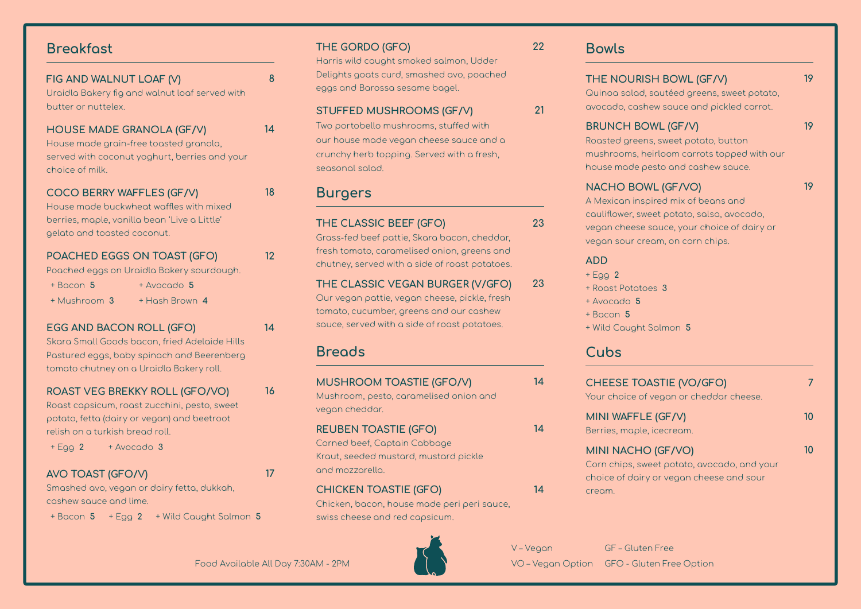## Breakfast

| FIG AND WALNUT LOAF (V)<br>Uraidla Bakery fig and walnut loaf served with<br>butter or nuttelex.                                                                                              | 8  |
|-----------------------------------------------------------------------------------------------------------------------------------------------------------------------------------------------|----|
| <b>HOUSE MADE GRANOLA (GF/V)</b><br>House made grain-free toasted granola,<br>served with coconut yoghurt, berries and your<br>choice of milk.                                                | 14 |
| COCO BERRY WAFFLES (GF/V)<br>House made buckwheat waffles with mixed<br>berries, maple, vanilla bean 'Live a Little'<br>gelato and toasted coconut.                                           | 18 |
| POACHED EGGS ON TOAST (GFO)<br>Poached eggs on Uraidla Bakery sourdough.<br>$+$ Bacon 5<br>+ Avocado 5<br>+ Hash Brown 4<br>+ Mushroom 3                                                      | 12 |
| EGG AND BACON ROLL (GFO)<br>Skara Small Goods bacon, fried Adelaide Hills<br>Pastured eggs, baby spinach and Beerenberg<br>tomato chutney on a Uraidla Bakery roll.                           | 14 |
| ROAST VEG BREKKY ROLL (GFO/VO)<br>Roast capsicum, roast zucchini, pesto, sweet<br>potato, fetta (dairy or vegan) and beetroot<br>relish on a turkish bread roll.<br>+ Avocado 3<br>$+ E$ gg 2 | 16 |
| <b>AVO TOAST (GFO/V)</b><br>Smashed avo, vegan or dairy fetta, dukkah,                                                                                                                        | 17 |

cashew sauce and lime.

+ Bacon 5 + Egg 2 + Wild Caught Salmon 5

### THE GORDO (GFO)

Harris wild caught smoked salmon, Udder Delights goats curd, smashed avo, poached eggs and Barossa sesame bagel.

### STUFFED MUSHROOMS (GF/V)

Two portobello mushrooms, stuffed with our house made vegan cheese sauce and a crunchy herb topping. Served with a fresh, seasonal salad.

## Burgers

### THE CLASSIC BEEF (GFO)

Grass-fed beef pattie, Skara bacon, cheddar, fresh tomato, caramelised onion, greens and chutney, served with a side of roast potatoes.

#### THE CLASSIC VEGAN BURGER (V/GFO) Our vegan pattie, vegan cheese, pickle, fresh 23

tomato, cucumber, greens and our cashew sauce, served with a side of roast potatoes.

## **Breads**

| <b>MUSHROOM TOASTIE (GFO/V)</b><br>Mushroom, pesto, caramelised onion and<br>vegan cheddar.                             | 14 |
|-------------------------------------------------------------------------------------------------------------------------|----|
| <b>REUBEN TOASTIE (GFO)</b><br>Corned beef, Captain Cabbage<br>Kraut, seeded mustard, mustard pickle<br>and mozzarella. | 14 |
| <b>CHICKEN TOASTIE (GFO)</b><br>Chicken, bacon, house made peri peri squce.                                             | 14 |

### Chicken, bacon, house made peri peri sauce, swiss cheese and red capsicum.



Bowls

22

21

23

## THE NOURISH BOWL (GF/V)

Quinoa salad, sautéed greens, sweet potato, avocado, cashew sauce and pickled carrot.

### BRUNCH BOWL (GF/V)

19

19

Roasted greens, sweet potato, button mushrooms, heirloom carrots topped with our house made pesto and cashew sauce.

### NACHO BOWL (GF/VO)

19

A Mexican inspired mix of beans and cauliflower, sweet potato, salsa, avocado, vegan cheese sauce, your choice of dairy or vegan sour cream, on corn chips.

### ADD

- $+ E$ gg 2
- + Roast Potatoes 3
- + Avocado 5
- + Bacon 5
- + Wild Caught Salmon 5

## **Cubs**

| <b>CHEESE TOASTIE (VO/GFO)</b><br>Your choice of vegan or cheddar cheese.                                               |     |
|-------------------------------------------------------------------------------------------------------------------------|-----|
| MINI WAFFLE (GF/V)<br>Berries, maple, icecream.                                                                         |     |
| MINI NACHO (GF/VO)<br>Corn chips, sweet potato, avocado, and your<br>choice of dairy or vegan cheese and sour<br>cream. | וזר |

V – Vegan GF – Gluten Free Food Available All Day 7:30AM - 2PM VO VO – Vegan Option GFO - Gluten Free Option